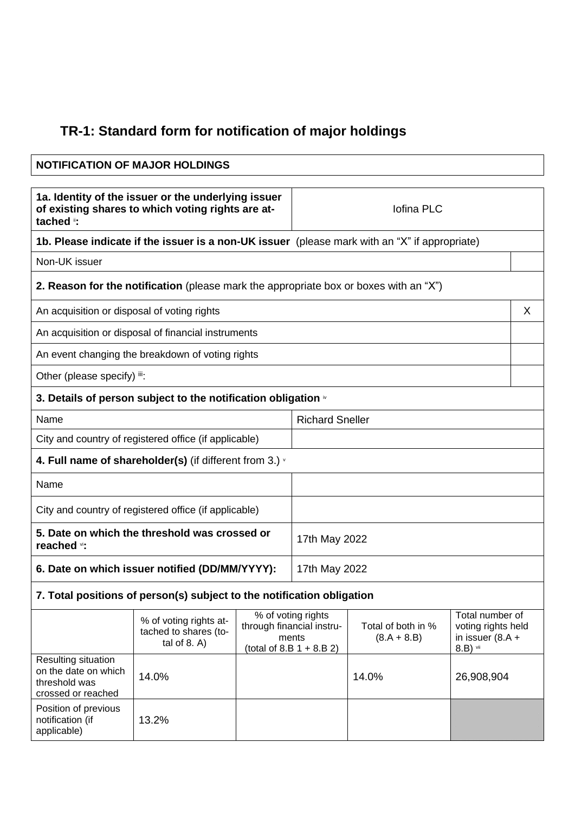## **TR-1: Standard form for notification of major holdings**

## **NOTIFICATION OF MAJOR HOLDINGS 1a. Identity of the issuer or the underlying issuer of existing shares to which voting rights are attached** ii**:** Iofina PLC **1b. Please indicate if the issuer is a non-UK issuer** (please mark with an "X" if appropriate) Non-UK issuer **2. Reason for the notification** (please mark the appropriate box or boxes with an "X") An acquisition or disposal of voting rights X and X and X and X and X and X and X and X and X and X and X and X  $\lambda$ An acquisition or disposal of financial instruments An event changing the breakdown of voting rights Other (please specify) iii: **3. Details of person subject to the notification obligation**  $\dot{v}$ Name Richard Sneller City and country of registered office (if applicable) **4. Full name of shareholder(s)** (if different from 3.) <sup>v</sup> Name City and country of registered office (if applicable) **5. Date on which the threshold was crossed or reached** vi**:** 17th May 2022 **6. Date on which issuer notified (DD/MM/YYYY):** 17th May 2022 **7. Total positions of person(s) subject to the notification obligation** % of voting rights attached to shares (total of 8. A) % of voting rights through financial instruments  $(total of 8.B 1 + 8.B 2)$ Total of both in %  $(8.A + 8.B)$ Total number of voting rights held in issuer (8.A + 8.B) vii Resulting situation on the date on which threshold was crossed or reached 14.0% 14.0% 26,908,904

Position of previous notification (if applicable)

13.2%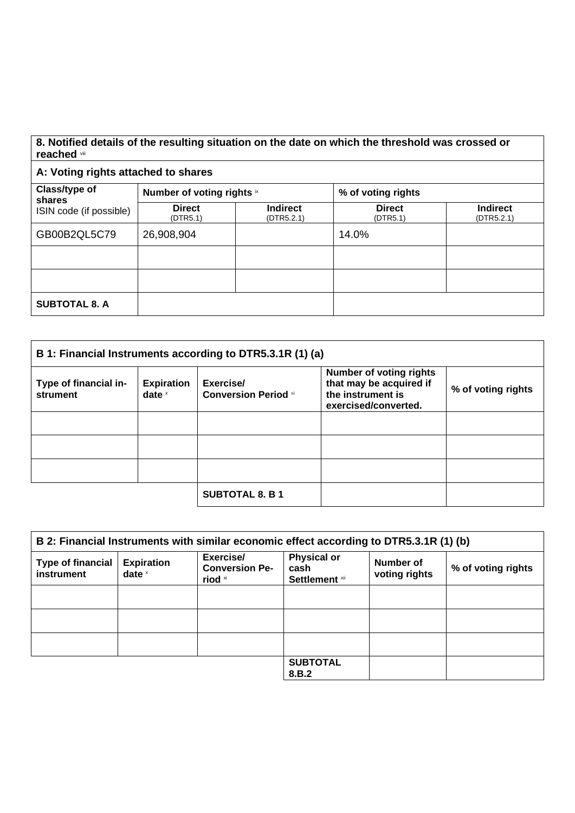## **8. Notified details of the resulting situation on the date on which the threshold was crossed or reached** viii

## **A: Voting rights attached to shares**

| Class/type of<br>shares<br>ISIN code (if possible) | Number of voting rights ix |                               | % of voting rights        |                               |
|----------------------------------------------------|----------------------------|-------------------------------|---------------------------|-------------------------------|
|                                                    | <b>Direct</b><br>(DTR5.1)  | <b>Indirect</b><br>(DTR5.2.1) | <b>Direct</b><br>(DTR5.1) | <b>Indirect</b><br>(DTR5.2.1) |
| GB00B2QL5C79                                       | 26,908,904                 |                               | 14.0%                     |                               |
|                                                    |                            |                               |                           |                               |
|                                                    |                            |                               |                           |                               |
| <b>SUBTOTAL 8. A</b>                               |                            |                               |                           |                               |

| B 1: Financial Instruments according to DTR5.3.1R (1) (a) |                               |                                          |                                                                                                        |                    |
|-----------------------------------------------------------|-------------------------------|------------------------------------------|--------------------------------------------------------------------------------------------------------|--------------------|
| Type of financial in-<br>strument                         | <b>Expiration</b><br>date $x$ | Exercise/<br><b>Conversion Period xi</b> | <b>Number of voting rights</b><br>that may be acquired if<br>the instrument is<br>exercised/converted. | % of voting rights |
|                                                           |                               |                                          |                                                                                                        |                    |
|                                                           |                               |                                          |                                                                                                        |                    |
|                                                           |                               |                                          |                                                                                                        |                    |
|                                                           |                               | <b>SUBTOTAL 8. B 1</b>                   |                                                                                                        |                    |

| B 2: Financial Instruments with similar economic effect according to DTR5.3.1R (1) (b) |                               |                                               |                                                     |                            |                    |
|----------------------------------------------------------------------------------------|-------------------------------|-----------------------------------------------|-----------------------------------------------------|----------------------------|--------------------|
| <b>Type of financial</b><br>instrument                                                 | <b>Expiration</b><br>date $x$ | Exercise/<br><b>Conversion Pe-</b><br>riod xi | <b>Physical or</b><br>cash<br><b>Settlement xii</b> | Number of<br>voting rights | % of voting rights |
|                                                                                        |                               |                                               |                                                     |                            |                    |
|                                                                                        |                               |                                               |                                                     |                            |                    |
|                                                                                        |                               |                                               |                                                     |                            |                    |
|                                                                                        |                               |                                               | <b>SUBTOTAL</b><br>8.B.2                            |                            |                    |